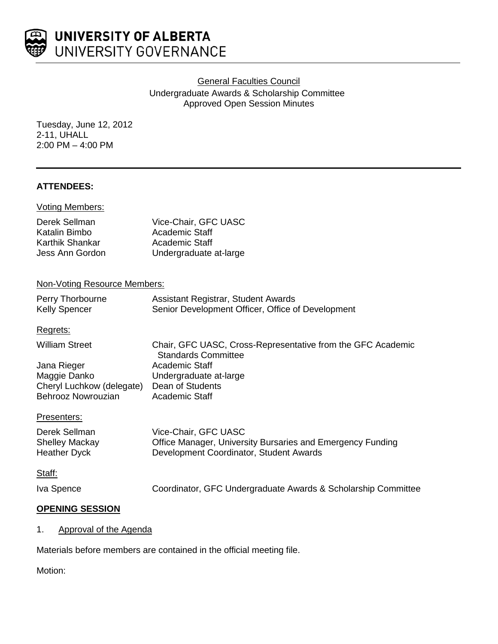

General Faculties Council Undergraduate Awards & Scholarship Committee Approved Open Session Minutes

Tuesday, June 12, 2012 2-11, UHALL 2:00 PM – 4:00 PM

### **ATTENDEES:**

| <b>Voting Members:</b>         |                                               |
|--------------------------------|-----------------------------------------------|
| Derek Sellman<br>Katalin Bimbo | Vice-Chair, GFC UASC<br><b>Academic Staff</b> |
| Karthik Shankar                | Academic Staff                                |
| Jess Ann Gordon                | Undergraduate at-large                        |

### Non-Voting Resource Members:

| Perry Thorbourne     | Assistant Registrar, Student Awards               |
|----------------------|---------------------------------------------------|
| <b>Kelly Spencer</b> | Senior Development Officer, Office of Development |

### Regrets:

| <b>William Street</b>     | Chair, GFC UASC, Cross-Representative from the GFC Academic<br><b>Standards Committee</b> |
|---------------------------|-------------------------------------------------------------------------------------------|
| Jana Rieger               | Academic Staff                                                                            |
| Maggie Danko              | Undergraduate at-large                                                                    |
| Cheryl Luchkow (delegate) | Dean of Students                                                                          |
| Behrooz Nowrouzian        | Academic Staff                                                                            |

#### Presenters:

| Derek Sellman         | Vice-Chair, GFC UASC                                       |
|-----------------------|------------------------------------------------------------|
| <b>Shelley Mackay</b> | Office Manager, University Bursaries and Emergency Funding |
| Heather Dyck          | Development Coordinator, Student Awards                    |

#### Staff:

Iva Spence Coordinator, GFC Undergraduate Awards & Scholarship Committee

### **OPENING SESSION**

1. Approval of the Agenda

Materials before members are contained in the official meeting file.

Motion: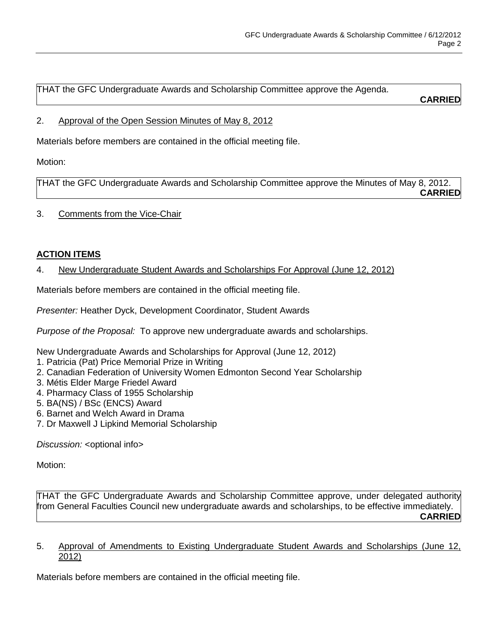THAT the GFC Undergraduate Awards and Scholarship Committee approve the Agenda.

**CARRIED**

## 2. Approval of the Open Session Minutes of May 8, 2012

Materials before members are contained in the official meeting file.

Motion:

THAT the GFC Undergraduate Awards and Scholarship Committee approve the Minutes of May 8, 2012. **CARRIED**

## 3. Comments from the Vice-Chair

# **ACTION ITEMS**

4. New Undergraduate Student Awards and Scholarships For Approval (June 12, 2012)

Materials before members are contained in the official meeting file.

*Presenter:* Heather Dyck, Development Coordinator, Student Awards

*Purpose of the Proposal:* To approve new undergraduate awards and scholarships.

New Undergraduate Awards and Scholarships for Approval (June 12, 2012)

- 1. Patricia (Pat) Price Memorial Prize in Writing
- 2. Canadian Federation of University Women Edmonton Second Year Scholarship
- 3. Métis Elder Marge Friedel Award
- 4. Pharmacy Class of 1955 Scholarship
- 5. BA(NS) / BSc (ENCS) Award
- 6. Barnet and Welch Award in Drama
- 7. Dr Maxwell J Lipkind Memorial Scholarship

*Discussion:* < optional info

Motion:

THAT the GFC Undergraduate Awards and Scholarship Committee approve, under delegated authority from General Faculties Council new undergraduate awards and scholarships, to be effective immediately. **CARRIED**

5. Approval of Amendments to Existing Undergraduate Student Awards and Scholarships (June 12, 2012)

Materials before members are contained in the official meeting file.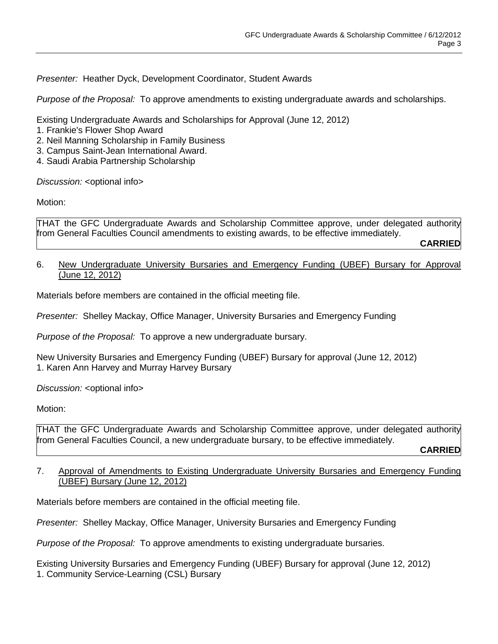*Presenter:* Heather Dyck, Development Coordinator, Student Awards

*Purpose of the Proposal:* To approve amendments to existing undergraduate awards and scholarships.

Existing Undergraduate Awards and Scholarships for Approval (June 12, 2012)

- 1. Frankie's Flower Shop Award
- 2. Neil Manning Scholarship in Family Business
- 3. Campus Saint-Jean International Award.
- 4. Saudi Arabia Partnership Scholarship

*Discussion:* < optional info>

Motion:

THAT the GFC Undergraduate Awards and Scholarship Committee approve, under delegated authority from General Faculties Council amendments to existing awards, to be effective immediately.

**CARRIED**

6. New Undergraduate University Bursaries and Emergency Funding (UBEF) Bursary for Approval (June 12, 2012)

Materials before members are contained in the official meeting file.

*Presenter:* Shelley Mackay, Office Manager, University Bursaries and Emergency Funding

*Purpose of the Proposal:* To approve a new undergraduate bursary.

New University Bursaries and Emergency Funding (UBEF) Bursary for approval (June 12, 2012) 1. Karen Ann Harvey and Murray Harvey Bursary

*Discussion:* <optional info>

Motion:

THAT the GFC Undergraduate Awards and Scholarship Committee approve, under delegated authority from General Faculties Council, a new undergraduate bursary, to be effective immediately. **CARRIED**

# 7. Approval of Amendments to Existing Undergraduate University Bursaries and Emergency Funding (UBEF) Bursary (June 12, 2012)

Materials before members are contained in the official meeting file.

*Presenter:* Shelley Mackay, Office Manager, University Bursaries and Emergency Funding

*Purpose of the Proposal:* To approve amendments to existing undergraduate bursaries.

Existing University Bursaries and Emergency Funding (UBEF) Bursary for approval (June 12, 2012) 1. Community Service-Learning (CSL) Bursary